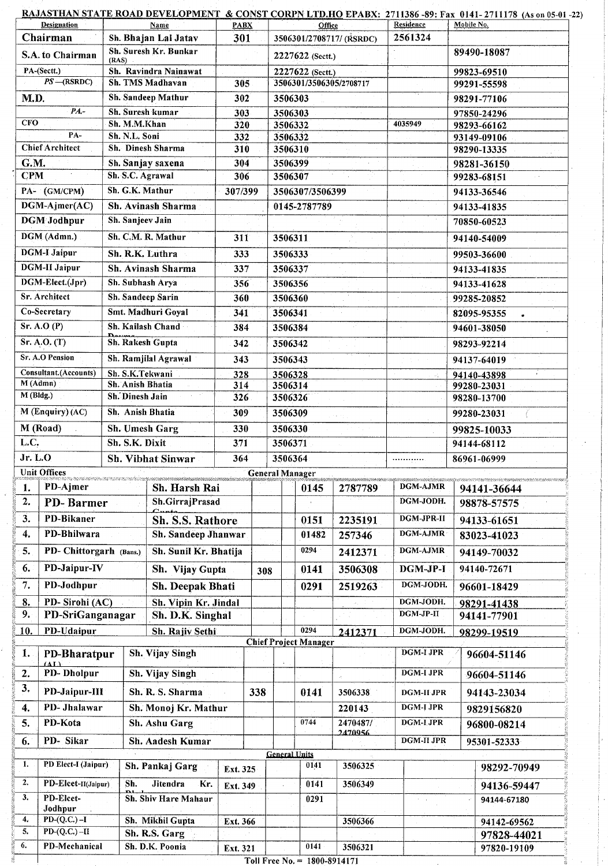|                                               |                                                      |                                                  | <u>RAJASTHAN STATE ROAD DEVELOPMENT  &amp; CONST CORPN LTD.HO</u> EPABX:  2711386 -89: Fax  0141- 2711178  (As on 05-01 -22)   |                    |            |                      |                                    |            |                        |                            |             |
|-----------------------------------------------|------------------------------------------------------|--------------------------------------------------|--------------------------------------------------------------------------------------------------------------------------------|--------------------|------------|----------------------|------------------------------------|------------|------------------------|----------------------------|-------------|
|                                               | <b>Designation</b><br>Chairman                       |                                                  | <b>Name</b><br>Sh. Bhajan Lal Jatav                                                                                            | <b>PABX</b><br>301 |            |                      | Office<br>3506301/2708717/ (RSRDC) |            | Residence<br>2561324   | Mobile No.                 |             |
|                                               | S.A. to Chairman                                     |                                                  | Sh. Suresh Kr. Bunkar                                                                                                          |                    |            |                      | 2227622 (Sectt.)                   |            |                        | 89490-18087                |             |
| (RAS)<br>PA-(Sectt.)<br>Sh. Ravindra Nainawat |                                                      |                                                  |                                                                                                                                |                    |            |                      | 2227622 (Sectt.)                   |            |                        | 99823-69510                |             |
|                                               | $PS - (RSRDC)$                                       |                                                  | Sh. TMS Madhavan                                                                                                               |                    | 305        |                      | 3506301/3506305/2708717            |            |                        | 99291-55598                |             |
| M.D.                                          |                                                      |                                                  | Sh. Sandeep Mathur                                                                                                             |                    | 302        |                      | 3506303                            |            |                        | 98291-77106                |             |
| $PA. -$                                       |                                                      |                                                  | Sh. Suresh kumar                                                                                                               |                    | 303        |                      | 3506303                            |            |                        | 97850-24296                |             |
| <b>CFO</b>                                    |                                                      |                                                  | Sh. M.M.Khan                                                                                                                   |                    | 320        |                      | 3506332                            |            | 4035949                | 98293-66162                |             |
|                                               | PA-                                                  |                                                  | Sh. N.L. Soni                                                                                                                  | 332                |            | 3506332              |                                    |            | 93149-09106            |                            |             |
|                                               | <b>Chief Architect</b>                               |                                                  | Sh. Dinesh Sharma                                                                                                              | 310                |            | 3506310              |                                    |            | 98290-13335            |                            |             |
| G.M.                                          |                                                      |                                                  | Sh. Sanjay saxena                                                                                                              | 304                |            | 3506399              |                                    |            | 98281-36150            |                            |             |
| <b>CPM</b>                                    |                                                      |                                                  | Sh. S.C. Agrawal                                                                                                               | 306                |            | 3506307              |                                    |            | 99283-68151            |                            |             |
| PA- (GM/CPM)                                  |                                                      |                                                  | Sh. G.K. Mathur                                                                                                                | 307/399            |            |                      | 3506307/3506399                    |            |                        | 94133-36546                |             |
|                                               | DGM-Ajmer(AC)                                        |                                                  | Sh. Avinash Sharma                                                                                                             |                    |            |                      | 0145-2787789                       |            |                        | 94133-41835                |             |
|                                               | <b>DGM</b> Jodhpur                                   | Sh. Sanjeev Jain                                 |                                                                                                                                |                    |            |                      |                                    |            |                        | 70850-60523                |             |
|                                               | DGM (Admn.)                                          |                                                  | Sh. C.M. R. Mathur                                                                                                             | 311                |            | 3506311              |                                    |            | 94140-54009            |                            |             |
|                                               | <b>DGM-I Jaipur</b>                                  |                                                  | Sh. R.K. Luthra                                                                                                                | 333                |            | 3506333              |                                    |            | 99503-36600            |                            |             |
|                                               | <b>DGM-II Jaipur</b>                                 |                                                  | Sh. Avinash Sharma                                                                                                             | 337                |            | 3506337              |                                    |            |                        | 94133-41835                |             |
|                                               | DGM-Elect.(Jpr)                                      |                                                  | Sh. Subhash Arya                                                                                                               | 356                |            | 3506356              |                                    |            | 94133-41628            |                            |             |
|                                               | Sr. Architect                                        |                                                  | Sh. Sandeep Sarin                                                                                                              | 360                |            | 3506360              |                                    |            |                        | 99285-20852                |             |
|                                               | Co-Secretary                                         |                                                  | Smt. Madhuri Goyal                                                                                                             | 341                |            | 3506341              |                                    |            | 82095-95355            |                            |             |
|                                               | Sr. A. O(P)                                          |                                                  | Sh. Kailash Chand                                                                                                              |                    | 384        | 3506384              |                                    |            | 94601-38050            |                            |             |
|                                               | Sr. A.O. (T)                                         |                                                  | Sh. Rakesh Gupta                                                                                                               | 342                |            | 3506342              |                                    |            |                        | 98293-92214                |             |
|                                               | <b>Sr. A.O Pension</b>                               |                                                  | Sh. Ramjilal Agrawal                                                                                                           |                    |            | 3506343              |                                    |            | 94137-64019            |                            |             |
|                                               | Consultant.(Accounts)                                |                                                  | Sh. S.K. Tekwani                                                                                                               |                    | 343        |                      | 3506328                            |            | $\mathcal{A}_1$ .      |                            |             |
|                                               | M(Admn)                                              |                                                  | Sh. Anish Bhatia                                                                                                               |                    | 328<br>314 |                      | 3506314                            |            |                        | 94140-43898<br>99280-23031 |             |
| $M$ (Bldg.)                                   |                                                      |                                                  | Sh. Dinesh Jain                                                                                                                |                    | 326        |                      | 3506326                            |            |                        | 98280-13700                |             |
| M (Enquiry) (AC)                              |                                                      |                                                  | Sh. Anish Bhatia                                                                                                               |                    |            |                      | 3506309                            |            |                        | 99280-23031                |             |
| M (Road)                                      |                                                      |                                                  | Sh. Umesh Garg                                                                                                                 |                    |            | 3506330              |                                    |            | 99825-10033            |                            |             |
| L.C.                                          |                                                      |                                                  | Sh. S.K. Dixit                                                                                                                 | 330<br>371         |            |                      | 3506371                            |            |                        | 94144-68112                |             |
| Jr. L.O                                       |                                                      |                                                  | Sh. Vibhat Sinwar                                                                                                              |                    | 364        |                      | 3506364                            |            |                        | 86961-06999                |             |
|                                               | <b>Unit Offices</b>                                  |                                                  |                                                                                                                                |                    |            |                      | <b>General Manager</b>             |            |                        |                            |             |
| ı.                                            | PD-Ajmer                                             |                                                  | E SA SAN SANAN SANA MALI SA KATA LA MALI SA LA MALI SEKARA KANYA KANYA KANYA KANYA KANYA KANYA KANYA KANYA SA<br>Sh. Harsh Rai |                    |            |                      | 0145                               | 2787789    | <b>DGM-AJMR</b>        | 94141-36644                |             |
| $\overline{2}$ .                              | PD-Barmer                                            | Sh.GirrajPrasad                                  |                                                                                                                                |                    |            |                      |                                    | DGM-JODH.  | 98878-57575            |                            |             |
| 3.                                            | PD-Bikaner                                           |                                                  |                                                                                                                                |                    |            |                      | 0151                               | 2235191    | DGM-JPR-II             | 94133-61651                |             |
| 4.                                            | PD-Bhilwara                                          | Sh. S.S. Rathore                                 |                                                                                                                                |                    |            |                      | 01482                              |            | DGM-AJMR               |                            |             |
|                                               |                                                      | Sh. Sandeep Jhanwar                              |                                                                                                                                |                    |            |                      | 0294                               | 257346     |                        | 83023-41023                |             |
| 5.                                            |                                                      | PD- Chittorgarh (Bans.)<br>Sh. Sunil Kr. Bhatija |                                                                                                                                |                    |            |                      |                                    | 2412371    | DGM-AJMR               | 94149-70032                |             |
| 6.                                            | PD-Jaipur-IV                                         |                                                  | Sh. Vijay Gupta                                                                                                                |                    | 308        |                      | 0141                               | 3506308    | DGM-JP-I               | 94140-72671                |             |
| 7.                                            | PD-Jodhpur                                           |                                                  | Sh. Deepak Bhati                                                                                                               |                    |            |                      | 0291                               | 2519263    | DGM-JODH.              | 96601-18429                |             |
| 8.<br>9.                                      | PD-Sirohi (AC)<br>PD-SriGanganagar                   |                                                  | Sh. Vipin Kr. Jindal<br>Sh. D.K. Singhal                                                                                       |                    |            |                      |                                    |            | DGM-JODH.<br>DGM-JP-II | 98291-41438<br>94141-77901 |             |
| 10.                                           | <b>PD-Udaipur</b>                                    |                                                  | Sh. Rajiv Sethi                                                                                                                |                    |            |                      | 0294                               |            | DGM-JODH.              |                            |             |
|                                               |                                                      |                                                  |                                                                                                                                |                    |            |                      | <b>Chief Project Manager</b>       | 2412371    |                        | 98299-19519                |             |
| 1.                                            | PD-Bharatpur                                         |                                                  | Sh. Vijay Singh                                                                                                                |                    |            |                      |                                    |            | DGM-I JPR              | 96604-51146                |             |
| 2.                                            | PD-Dholpur                                           | $\Delta L$<br>Sh. Vijay Singh                    |                                                                                                                                |                    |            |                      |                                    |            | <b>DGM-I JPR</b>       | 96604-51146                |             |
| 3.                                            |                                                      | PD-Jaipur-III<br>Sh. R. S. Sharma                |                                                                                                                                |                    | 338        |                      | 0141                               | 3506338    | DGM-II JPR             | 94143-23034                |             |
| 4.                                            | PD-Jhalawar                                          |                                                  | Sh. Monoj Kr. Mathur                                                                                                           |                    |            |                      |                                    | 220143     | DGM-I JPR              | 9829156820                 |             |
| 5.                                            | PD-Kota                                              |                                                  | Sh. Ashu Garg                                                                                                                  |                    |            |                      | 0744                               | 2470487/   | <b>DGM-I JPR</b>       | 96800-08214                |             |
| 6.                                            | PD-Sikar<br>Sh. Aadesh Kumar                         |                                                  |                                                                                                                                |                    |            |                      | 2470956                            | DGM-II JPR | 95301-52333            |                            |             |
|                                               |                                                      |                                                  |                                                                                                                                |                    |            | <b>General Units</b> |                                    |            |                        |                            |             |
| 1.                                            | PD Elect-I (Jaipur)                                  |                                                  | Sh. Pankaj Garg                                                                                                                | Ext. 325           |            |                      | 0141                               | 3506325    |                        |                            | 98292-70949 |
| 2.                                            | <b>Jitendra</b><br>PD-Elcet-II(Jaipur)<br>Sh.<br>Kr. |                                                  |                                                                                                                                | Ext. 349           |            | 0141                 | 3506349                            |            |                        | 94136-59447                |             |
| 3.                                            | PD-Elcet-                                            |                                                  | <b>Sh. Shiv Hare Mahaur</b>                                                                                                    |                    |            |                      | 0291                               |            |                        |                            | 94144-67180 |
| 4.                                            | Jodhpur<br>$PD-(Q.C.)-I$                             |                                                  | Sh. Mikhil Gupta                                                                                                               | Ext. 366           |            |                      |                                    | 3506366    |                        |                            | 94142-69562 |
|                                               |                                                      |                                                  |                                                                                                                                |                    |            |                      |                                    |            |                        |                            |             |
| 5.                                            | $PD-(Q.C.) - II$                                     |                                                  | Sh. R.S. Garg                                                                                                                  |                    |            |                      |                                    |            |                        |                            | 97828-44021 |

Toll Free No. =  $1800 - 8914171$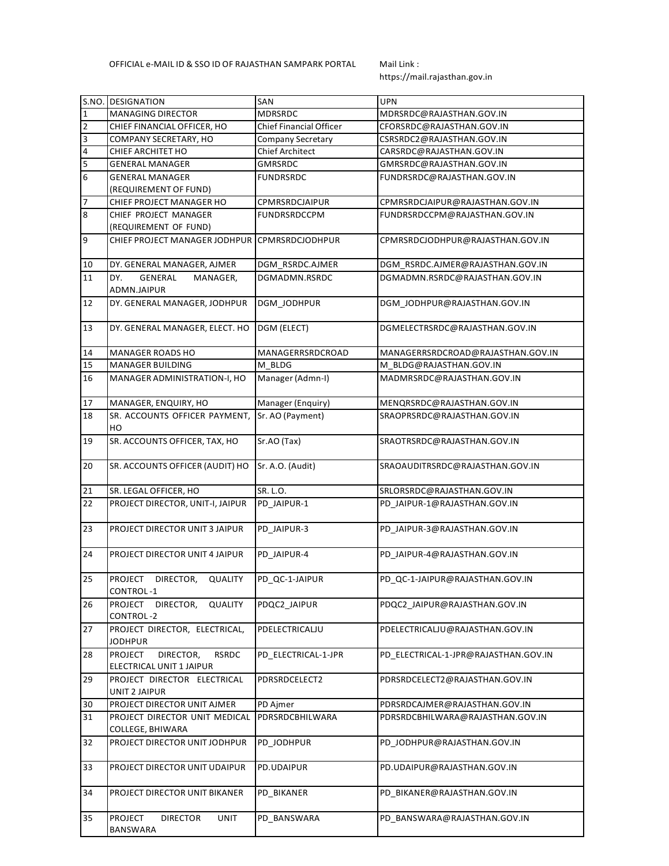https://mail.rajasthan.gov.in

| S.NO.                   | <b>DESIGNATION</b>                                               | <b>SAN</b>              | <b>UPN</b>                           |  |  |
|-------------------------|------------------------------------------------------------------|-------------------------|--------------------------------------|--|--|
| $\mathbf{1}$            | <b>MANAGING DIRECTOR</b>                                         | <b>MDRSRDC</b>          | MDRSRDC@RAJASTHAN.GOV.IN             |  |  |
| $\overline{2}$          | CHIEF FINANCIAL OFFICER, HO                                      | Chief Financial Officer | CFORSRDC@RAJASTHAN.GOV.IN            |  |  |
| $\overline{\mathbf{3}}$ | COMPANY SECRETARY, HO                                            | Company Secretary       | CSRSRDC2@RAJASTHAN.GOV.IN            |  |  |
| 4                       | CHIEF ARCHITET HO                                                | <b>Chief Architect</b>  | CARSRDC@RAJASTHAN.GOV.IN             |  |  |
| $\overline{5}$          | <b>GENERAL MANAGER</b>                                           | <b>GMRSRDC</b>          | GMRSRDC@RAJASTHAN.GOV.IN             |  |  |
| $\boldsymbol{6}$        | <b>GENERAL MANAGER</b>                                           | <b>FUNDRSRDC</b>        | FUNDRSRDC@RAJASTHAN.GOV.IN           |  |  |
|                         | (REQUIREMENT OF FUND)                                            |                         |                                      |  |  |
| 7                       | CHIEF PROJECT MANAGER HO                                         | CPMRSRDCJAIPUR          | CPMRSRDCJAIPUR@RAJASTHAN.GOV.IN      |  |  |
| $\bf 8$                 | CHIEF PROJECT MANAGER                                            | <b>FUNDRSRDCCPM</b>     | FUNDRSRDCCPM@RAJASTHAN.GOV.IN        |  |  |
|                         | (REQUIREMENT OF FUND)                                            |                         |                                      |  |  |
| 9                       | CHIEF PROJECT MANAGER JODHPUR CPMRSRDCJODHPUR                    |                         | CPMRSRDCJODHPUR@RAJASTHAN.GOV.IN     |  |  |
| 10                      | DY. GENERAL MANAGER, AJMER                                       | DGM_RSRDC.AJMER         | DGM_RSRDC.AJMER@RAJASTHAN.GOV.IN     |  |  |
| 11                      | DY.<br>GENERAL<br>MANAGER,                                       | DGMADMN.RSRDC           | DGMADMN.RSRDC@RAJASTHAN.GOV.IN       |  |  |
|                         | ADMN.JAIPUR                                                      |                         |                                      |  |  |
| 12                      | DY. GENERAL MANAGER, JODHPUR                                     | DGM_JODHPUR             | DGM_JODHPUR@RAJASTHAN.GOV.IN         |  |  |
| 13                      | DY. GENERAL MANAGER, ELECT. HO                                   | DGM (ELECT)             | DGMELECTRSRDC@RAJASTHAN.GOV.IN       |  |  |
| 14                      | MANAGER ROADS HO                                                 | MANAGERRSRDCROAD        | MANAGERRSRDCROAD@RAJASTHAN.GOV.IN    |  |  |
| 15                      | MANAGER BUILDING                                                 | M BLDG                  | M BLDG@RAJASTHAN.GOV.IN              |  |  |
| 16                      | MANAGER ADMINISTRATION-I, HO                                     | Manager (Admn-I)        | MADMRSRDC@RAJASTHAN.GOV.IN           |  |  |
| 17                      | MANAGER, ENQUIRY, HO                                             | Manager (Enquiry)       | MENQRSRDC@RAJASTHAN.GOV.IN           |  |  |
| 18                      | SR. ACCOUNTS OFFICER PAYMENT,<br>HO                              | Sr. AO (Payment)        | SRAOPRSRDC@RAJASTHAN.GOV.IN          |  |  |
| 19                      | SR. ACCOUNTS OFFICER, TAX, HO                                    | Sr.AO (Tax)             | SRAOTRSRDC@RAJASTHAN.GOV.IN          |  |  |
| 20                      | SR. ACCOUNTS OFFICER (AUDIT) HO                                  | Sr. A.O. (Audit)        | SRAOAUDITRSRDC@RAJASTHAN.GOV.IN      |  |  |
| 21                      | SR. LEGAL OFFICER, HO                                            | SR. L.O.                | SRLORSRDC@RAJASTHAN.GOV.IN           |  |  |
| 22                      | PROJECT DIRECTOR, UNIT-I, JAIPUR                                 | PD_JAIPUR-1             | PD_JAIPUR-1@RAJASTHAN.GOV.IN         |  |  |
|                         |                                                                  |                         |                                      |  |  |
| 23                      | PROJECT DIRECTOR UNIT 3 JAIPUR                                   | PD JAIPUR-3             | PD_JAIPUR-3@RAJASTHAN.GOV.IN         |  |  |
| 24                      | PROJECT DIRECTOR UNIT 4 JAIPUR                                   | PD JAIPUR-4             | PD_JAIPUR-4@RAJASTHAN.GOV.IN         |  |  |
| 25                      | <b>PROJECT</b><br>DIRECTOR,<br><b>QUALITY</b><br>CONTROL-1       | PD QC-1-JAIPUR          | PD QC-1-JAIPUR@RAJASTHAN.GOV.IN      |  |  |
| 26                      | <b>PROJECT</b><br><b>QUALITY</b><br>DIRECTOR,<br>CONTROL-2       | PDQC2 JAIPUR            | PDQC2 JAIPUR@RAJASTHAN.GOV.IN        |  |  |
| 27                      | PROJECT DIRECTOR, ELECTRICAL,<br><b>JODHPUR</b>                  | PDELECTRICALJU          | PDELECTRICALJU@RAJASTHAN.GOV.IN      |  |  |
| 28                      | PROJECT<br>DIRECTOR,<br><b>RSRDC</b><br>ELECTRICAL UNIT 1 JAIPUR | PD ELECTRICAL-1-JPR     | PD ELECTRICAL-1-JPR@RAJASTHAN.GOV.IN |  |  |
| 29                      | PROJECT DIRECTOR ELECTRICAL<br>UNIT 2 JAIPUR                     | PDRSRDCELECT2           | PDRSRDCELECT2@RAJASTHAN.GOV.IN       |  |  |
| 30                      | PROJECT DIRECTOR UNIT AJMER                                      | PD Ajmer                | PDRSRDCAJMER@RAJASTHAN.GOV.IN        |  |  |
| 31                      | PROJECT DIRECTOR UNIT MEDICAL                                    | PDRSRDCBHILWARA         | PDRSRDCBHILWARA@RAJASTHAN.GOV.IN     |  |  |
|                         | COLLEGE, BHIWARA                                                 |                         |                                      |  |  |
| 32                      | PROJECT DIRECTOR UNIT JODHPUR                                    | PD_JODHPUR              | PD_JODHPUR@RAJASTHAN.GOV.IN          |  |  |
| 33                      | PROJECT DIRECTOR UNIT UDAIPUR                                    | PD.UDAIPUR              | PD.UDAIPUR@RAJASTHAN.GOV.IN          |  |  |
| 34                      | PROJECT DIRECTOR UNIT BIKANER                                    | PD BIKANER              | PD_BIKANER@RAJASTHAN.GOV.IN          |  |  |
| 35                      | <b>PROJECT</b><br><b>DIRECTOR</b><br>UNIT<br>BANSWARA            | PD_BANSWARA             | PD_BANSWARA@RAJASTHAN.GOV.IN         |  |  |